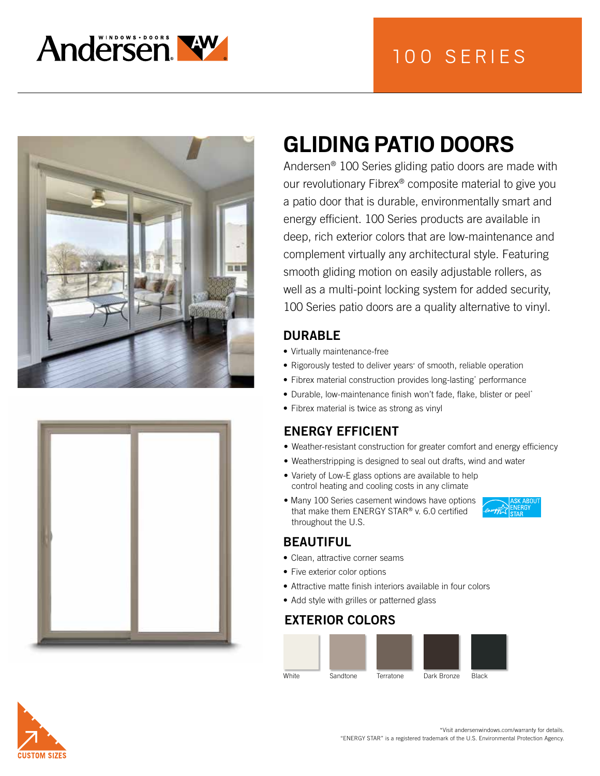







# **GLIDING PATIO DOORS**

Andersen® 100 Series gliding patio doors are made with our revolutionary Fibrex® composite material to give you a patio door that is durable, environmentally smart and energy efficient. 100 Series products are available in deep, rich exterior colors that are low-maintenance and complement virtually any architectural style. Featuring smooth gliding motion on easily adjustable rollers, as well as a multi-point locking system for added security, 100 Series patio doors are a quality alternative to vinyl.

#### DURABLE

- Virtually maintenance-free
- Rigorously tested to deliver years\* of smooth, reliable operation
- Fibrex material construction provides long-lasting\* performance
- Durable, low-maintenance finish won't fade, flake, blister or peel\*
- Fibrex material is twice as strong as vinyl

## ENERGY EFFICIENT

- Weather-resistant construction for greater comfort and energy efficiency
- Weatherstripping is designed to seal out drafts, wind and water
- Variety of Low-E glass options are available to help control heating and cooling costs in any climate
- Many 100 Series casement windows have options that make them ENERGY STAR® v. 6.0 certified throughout the U.S.

#### BEAUTIFUL

- Clean, attractive corner seams
- Five exterior color options
- Attractive matte finish interiors available in four colors
- Add style with grilles or patterned glass

## EXTERIOR COLORS